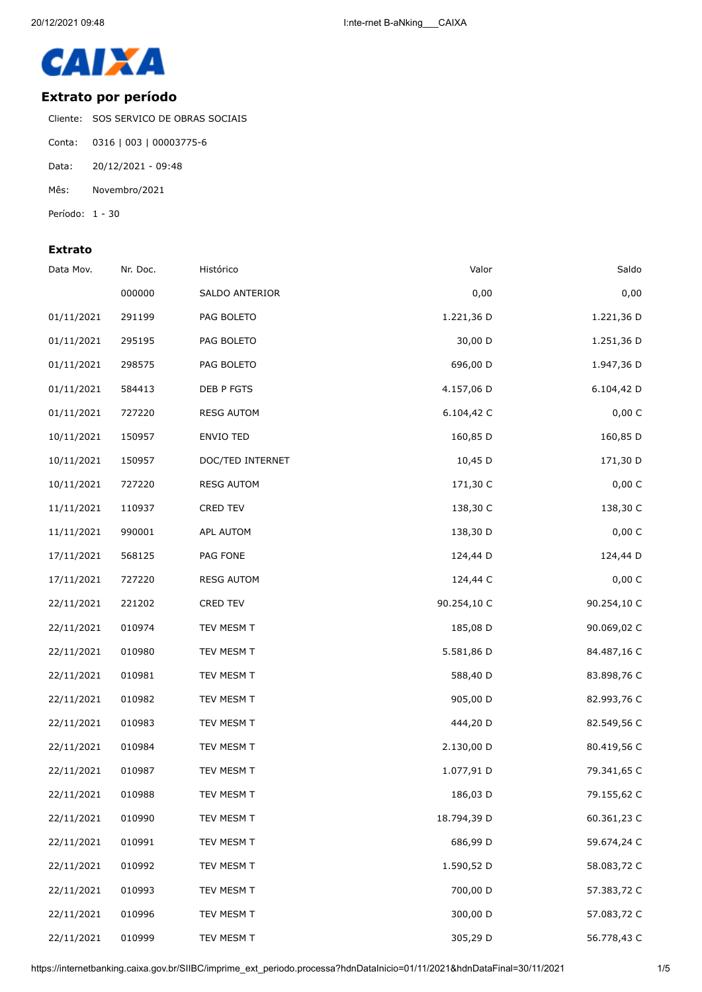

## **Extrato por período**

Cliente: SOS SERVICO DE OBRAS SOCIAIS

- Conta: 0316 | 003 | 00003775-6
- Data: 20/12/2021 09:48
- Mês: Novembro/2021
- Período: 1 30

## **Extrato**

| Data Mov.  | Nr. Doc. | Histórico         | Valor       | Saldo       |
|------------|----------|-------------------|-------------|-------------|
|            | 000000   | SALDO ANTERIOR    | 0,00        | 0,00        |
| 01/11/2021 | 291199   | PAG BOLETO        | 1.221,36 D  | 1.221,36 D  |
| 01/11/2021 | 295195   | PAG BOLETO        | 30,00 D     | 1.251,36 D  |
| 01/11/2021 | 298575   | PAG BOLETO        | 696,00 D    | 1.947,36 D  |
| 01/11/2021 | 584413   | DEB P FGTS        | 4.157,06 D  | 6.104,42 D  |
| 01/11/2021 | 727220   | <b>RESG AUTOM</b> | 6.104,42 C  | 0,00 C      |
| 10/11/2021 | 150957   | ENVIO TED         | 160,85 D    | 160,85 D    |
| 10/11/2021 | 150957   | DOC/TED INTERNET  | 10,45 D     | 171,30 D    |
| 10/11/2021 | 727220   | <b>RESG AUTOM</b> | 171,30 C    | 0,00 C      |
| 11/11/2021 | 110937   | CRED TEV          | 138,30 C    | 138,30 C    |
| 11/11/2021 | 990001   | APL AUTOM         | 138,30 D    | 0,00 C      |
| 17/11/2021 | 568125   | PAG FONE          | 124,44 D    | 124,44 D    |
| 17/11/2021 | 727220   | <b>RESG AUTOM</b> | 124,44 C    | 0,00 C      |
| 22/11/2021 | 221202   | CRED TEV          | 90.254,10 C | 90.254,10 C |
| 22/11/2021 | 010974   | TEV MESM T        | 185,08 D    | 90.069,02 C |
| 22/11/2021 | 010980   | TEV MESM T        | 5.581,86 D  | 84.487,16 C |
| 22/11/2021 | 010981   | TEV MESM T        | 588,40 D    | 83.898,76 C |
| 22/11/2021 | 010982   | TEV MESM T        | 905,00 D    | 82.993,76 C |
| 22/11/2021 | 010983   | TEV MESM T        | 444,20 D    | 82.549,56 C |
| 22/11/2021 | 010984   | TEV MESM T        | 2.130,00 D  | 80.419,56 C |
| 22/11/2021 | 010987   | TEV MESM T        | 1.077,91 D  | 79.341,65 C |
| 22/11/2021 | 010988   | TEV MESM T        | 186,03 D    | 79.155,62 C |
| 22/11/2021 | 010990   | TEV MESM T        | 18.794,39 D | 60.361,23 C |
| 22/11/2021 | 010991   | TEV MESM T        | 686,99 D    | 59.674,24 C |
| 22/11/2021 | 010992   | TEV MESM T        | 1.590,52 D  | 58.083,72 C |
| 22/11/2021 | 010993   | TEV MESM T        | 700,00 D    | 57.383,72 C |
| 22/11/2021 | 010996   | TEV MESM T        | 300,00 D    | 57.083,72 C |
| 22/11/2021 | 010999   | TEV MESM T        | 305,29 D    | 56.778,43 C |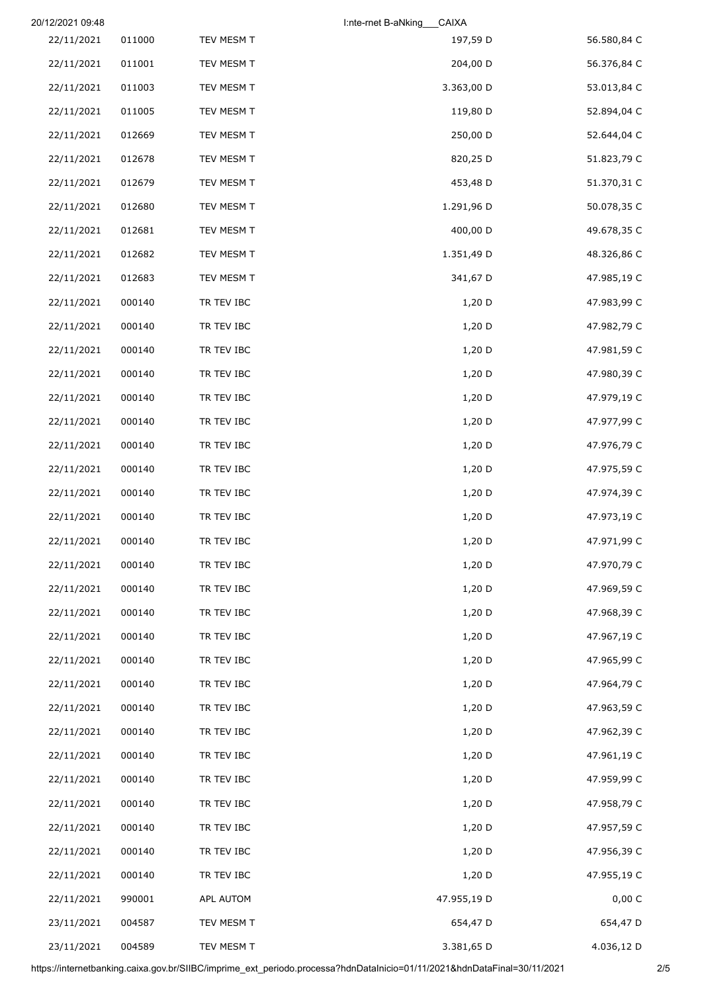|             | CAIXA<br>I:nte-rnet B-aNking |            |        | 20/12/2021 09:48 |
|-------------|------------------------------|------------|--------|------------------|
| 56.580,84 C | 197,59 D                     | TEV MESM T | 011000 | 22/11/2021       |
| 56.376,84 C | 204,00 D                     | TEV MESM T | 011001 | 22/11/2021       |
| 53.013,84 C | 3.363,00 D                   | TEV MESM T | 011003 | 22/11/2021       |
| 52.894,04 C | 119,80 D                     | TEV MESM T | 011005 | 22/11/2021       |
| 52.644,04 C | 250,00 D                     | TEV MESM T | 012669 | 22/11/2021       |
| 51.823,79 C | 820,25 D                     | TEV MESM T | 012678 | 22/11/2021       |
| 51.370,31 C | 453,48 D                     | TEV MESM T | 012679 | 22/11/2021       |
| 50.078,35 C | 1.291,96 D                   | TEV MESM T | 012680 | 22/11/2021       |
| 49.678,35 C | 400,00 D                     | TEV MESM T | 012681 | 22/11/2021       |
| 48.326,86 C | 1.351,49 D                   | TEV MESM T | 012682 | 22/11/2021       |
| 47.985,19 C | 341,67 D                     | TEV MESM T | 012683 | 22/11/2021       |
| 47.983,99 C | 1,20 D                       | TR TEV IBC | 000140 | 22/11/2021       |
| 47.982,79 C | 1,20 D                       | TR TEV IBC | 000140 | 22/11/2021       |
| 47.981,59 C | 1,20 D                       | TR TEV IBC | 000140 | 22/11/2021       |
| 47.980,39 C | 1,20 D                       | TR TEV IBC | 000140 | 22/11/2021       |
| 47.979,19 C | 1,20 D                       | TR TEV IBC | 000140 | 22/11/2021       |
| 47.977,99 C | 1,20 D                       | TR TEV IBC | 000140 | 22/11/2021       |
| 47.976,79 C | 1,20 D                       | TR TEV IBC | 000140 | 22/11/2021       |
| 47.975,59 C | 1,20 D                       | TR TEV IBC | 000140 | 22/11/2021       |
| 47.974,39 C | 1,20 D                       | TR TEV IBC | 000140 | 22/11/2021       |
| 47.973,19 C | 1,20 D                       | TR TEV IBC | 000140 | 22/11/2021       |
| 47.971,99 C | 1,20 D                       | TR TEV IBC | 000140 | 22/11/2021       |
| 47.970,79 C | 1,20 D                       | TR TEV IBC | 000140 | 22/11/2021       |
| 47.969,59 C | 1,20 D                       | TR TEV IBC | 000140 | 22/11/2021       |
| 47.968,39 C | 1,20 D                       | TR TEV IBC | 000140 | 22/11/2021       |
| 47.967,19 C | 1,20 D                       | TR TEV IBC | 000140 | 22/11/2021       |
| 47.965,99 C | 1,20 D                       | TR TEV IBC | 000140 | 22/11/2021       |
| 47.964,79 C | 1,20 D                       | TR TEV IBC | 000140 | 22/11/2021       |
| 47.963,59 C | 1,20 D                       | TR TEV IBC | 000140 | 22/11/2021       |
| 47.962,39 C | 1,20 D                       | TR TEV IBC | 000140 | 22/11/2021       |
| 47.961,19 C | 1,20 D                       | TR TEV IBC | 000140 | 22/11/2021       |
| 47.959,99 C | 1,20 D                       | TR TEV IBC | 000140 | 22/11/2021       |
| 47.958,79 C | 1,20 D                       | TR TEV IBC | 000140 | 22/11/2021       |
| 47.957,59 C | 1,20 D                       | TR TEV IBC | 000140 | 22/11/2021       |
| 47.956,39 C | 1,20 D                       | TR TEV IBC | 000140 | 22/11/2021       |
| 47.955,19 C | 1,20 D                       | TR TEV IBC | 000140 | 22/11/2021       |
| 0,00 C      | 47.955,19 D                  | APL AUTOM  | 990001 | 22/11/2021       |
| 654,47 D    | 654,47 D                     | TEV MESM T | 004587 | 23/11/2021       |
| 4.036,12 D  | 3.381,65 D                   | TEV MESM T | 004589 | 23/11/2021       |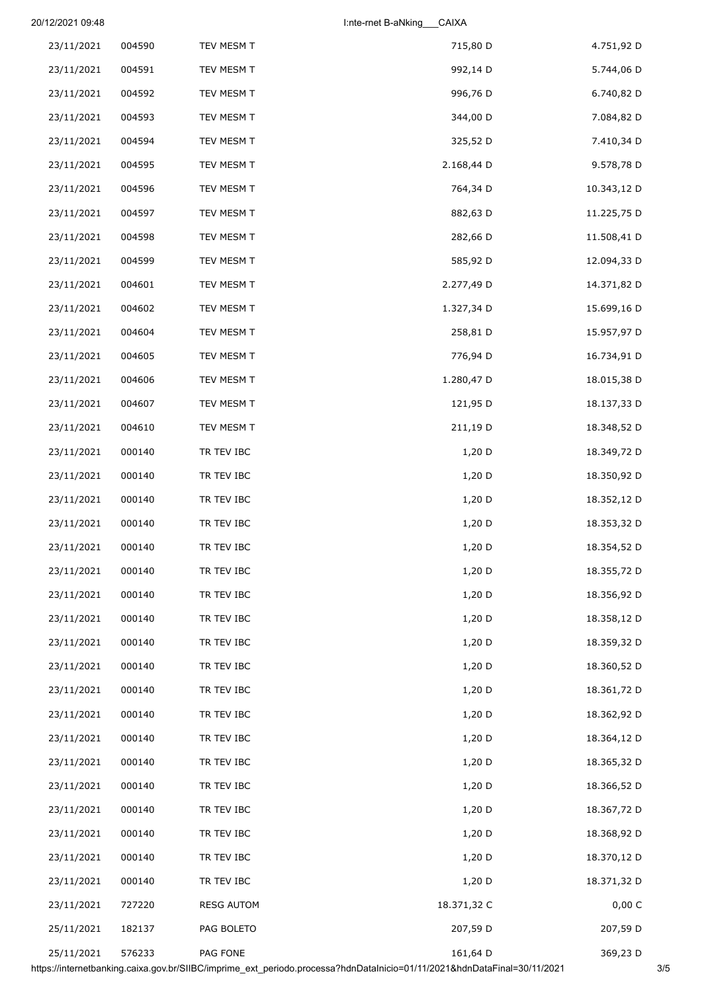20/12/2021 09:48 I:nte-rnet B-aNking\_\_\_CAIXA

| 23/11/2021 | 004590 | TEV MESM T        | 715,80 D    | 4.751,92 D  |
|------------|--------|-------------------|-------------|-------------|
| 23/11/2021 | 004591 | TEV MESM T        | 992,14 D    | 5.744,06 D  |
| 23/11/2021 | 004592 | TEV MESM T        | 996,76 D    | 6.740,82 D  |
| 23/11/2021 | 004593 | TEV MESM T        | 344,00 D    | 7.084,82 D  |
| 23/11/2021 | 004594 | TEV MESM T        | 325,52 D    | 7.410,34 D  |
| 23/11/2021 | 004595 | TEV MESM T        | 2.168,44 D  | 9.578,78 D  |
| 23/11/2021 | 004596 | TEV MESM T        | 764,34 D    | 10.343,12 D |
| 23/11/2021 | 004597 | TEV MESM T        | 882,63 D    | 11.225,75 D |
| 23/11/2021 | 004598 | TEV MESM T        | 282,66 D    | 11.508,41 D |
| 23/11/2021 | 004599 | TEV MESM T        | 585,92 D    | 12.094,33 D |
| 23/11/2021 | 004601 | TEV MESM T        | 2.277,49 D  | 14.371,82 D |
| 23/11/2021 | 004602 | TEV MESM T        | 1.327,34 D  | 15.699,16 D |
| 23/11/2021 | 004604 | TEV MESM T        | 258,81 D    | 15.957,97 D |
| 23/11/2021 | 004605 | TEV MESM T        | 776,94 D    | 16.734,91 D |
| 23/11/2021 | 004606 | TEV MESM T        | 1.280,47 D  | 18.015,38 D |
| 23/11/2021 | 004607 | TEV MESM T        | 121,95 D    | 18.137,33 D |
| 23/11/2021 | 004610 | TEV MESM T        | 211,19 D    | 18.348,52 D |
| 23/11/2021 | 000140 | TR TEV IBC        | $1,20$ D    | 18.349,72 D |
| 23/11/2021 | 000140 | TR TEV IBC        | 1,20 D      | 18.350,92 D |
| 23/11/2021 | 000140 | TR TEV IBC        | $1,20$ D    | 18.352,12 D |
| 23/11/2021 | 000140 | TR TEV IBC        | 1,20 D      | 18.353,32 D |
| 23/11/2021 | 000140 | TR TEV IBC        | 1,20 D      | 18.354,52 D |
| 23/11/2021 | 000140 | TR TEV IBC        | 1,20 D      | 18.355,72 D |
| 23/11/2021 | 000140 | TR TEV IBC        | 1,20 D      | 18.356,92 D |
| 23/11/2021 | 000140 | TR TEV IBC        | 1,20 D      | 18.358,12 D |
| 23/11/2021 | 000140 | TR TEV IBC        | 1,20 D      | 18.359,32 D |
| 23/11/2021 | 000140 | TR TEV IBC        | 1,20 D      | 18.360,52 D |
| 23/11/2021 | 000140 | TR TEV IBC        | 1,20 D      | 18.361,72 D |
| 23/11/2021 | 000140 | TR TEV IBC        | 1,20 D      | 18.362,92 D |
| 23/11/2021 | 000140 | TR TEV IBC        | 1,20 D      | 18.364,12 D |
| 23/11/2021 | 000140 | TR TEV IBC        | 1,20 D      | 18.365,32 D |
| 23/11/2021 | 000140 | TR TEV IBC        | 1,20 D      | 18.366,52 D |
| 23/11/2021 | 000140 | TR TEV IBC        | 1,20 D      | 18.367,72 D |
| 23/11/2021 | 000140 | TR TEV IBC        | 1,20 D      | 18.368,92 D |
| 23/11/2021 | 000140 | TR TEV IBC        | 1,20 D      | 18.370,12 D |
| 23/11/2021 | 000140 | TR TEV IBC        | 1,20 D      | 18.371,32 D |
| 23/11/2021 | 727220 | <b>RESG AUTOM</b> | 18.371,32 C | 0,00 C      |
| 25/11/2021 | 182137 | PAG BOLETO        | 207,59 D    | 207,59 D    |
| 25/11/2021 | 576233 | PAG FONE          | 161,64 D    | 369,23 D    |

https://internetbanking.caixa.gov.br/SIIBC/imprime\_ext\_periodo.processa?hdnDataInicio=01/11/2021&hdnDataFinal=30/11/2021 3/5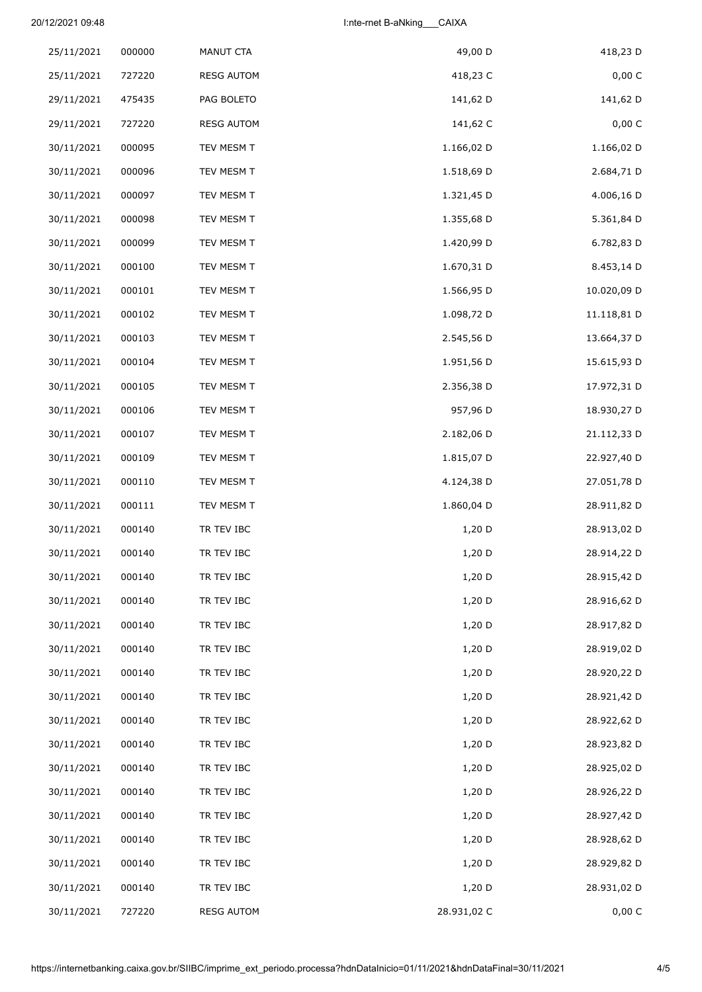## 20/12/2021 09:48 I:nte-rnet B-aNking\_\_\_CAIXA

| 25/11/2021 | 000000 | MANUT CTA         | 49,00 D     | 418,23 D    |
|------------|--------|-------------------|-------------|-------------|
| 25/11/2021 | 727220 | <b>RESG AUTOM</b> | 418,23 C    | 0,00 C      |
| 29/11/2021 | 475435 | PAG BOLETO        | 141,62 D    | 141,62 D    |
| 29/11/2021 | 727220 | <b>RESG AUTOM</b> | 141,62 C    | 0,00 C      |
| 30/11/2021 | 000095 | TEV MESM T        | 1.166,02 D  | 1.166,02 D  |
| 30/11/2021 | 000096 | TEV MESM T        | 1.518,69 D  | 2.684,71 D  |
| 30/11/2021 | 000097 | TEV MESM T        | 1.321,45 D  | 4.006,16 D  |
| 30/11/2021 | 000098 | TEV MESM T        | 1.355,68 D  | 5.361,84 D  |
| 30/11/2021 | 000099 | TEV MESM T        | 1.420,99 D  | 6.782,83 D  |
| 30/11/2021 | 000100 | TEV MESM T        | 1.670,31 D  | 8.453,14 D  |
| 30/11/2021 | 000101 | TEV MESM T        | 1.566,95 D  | 10.020,09 D |
| 30/11/2021 | 000102 | TEV MESM T        | 1.098,72 D  | 11.118,81 D |
| 30/11/2021 | 000103 | TEV MESM T        | 2.545,56 D  | 13.664,37 D |
| 30/11/2021 | 000104 | TEV MESM T        | 1.951,56 D  | 15.615,93 D |
| 30/11/2021 | 000105 | TEV MESM T        | 2.356,38 D  | 17.972,31 D |
| 30/11/2021 | 000106 | TEV MESM T        | 957,96 D    | 18.930,27 D |
| 30/11/2021 | 000107 | TEV MESM T        | 2.182,06 D  | 21.112,33 D |
| 30/11/2021 | 000109 | TEV MESM T        | 1.815,07 D  | 22.927,40 D |
| 30/11/2021 | 000110 | TEV MESM T        | 4.124,38 D  | 27.051,78 D |
| 30/11/2021 | 000111 | TEV MESM T        | 1.860,04 D  | 28.911,82 D |
| 30/11/2021 | 000140 | TR TEV IBC        | $1,20$ D    | 28.913,02 D |
| 30/11/2021 | 000140 | TR TEV IBC        | 1,20 D      | 28.914,22 D |
| 30/11/2021 | 000140 | TR TEV IBC        | $1,20$ D    | 28.915,42 D |
| 30/11/2021 | 000140 | TR TEV IBC        | $1,20$ D    | 28.916,62 D |
| 30/11/2021 | 000140 | TR TEV IBC        | $1,20$ D    | 28.917,82 D |
| 30/11/2021 | 000140 | TR TEV IBC        | 1,20 D      | 28.919,02 D |
| 30/11/2021 | 000140 | TR TEV IBC        | 1,20 D      | 28.920,22 D |
| 30/11/2021 | 000140 | TR TEV IBC        | $1,20$ D    | 28.921,42 D |
| 30/11/2021 | 000140 | TR TEV IBC        | 1,20 D      | 28.922,62 D |
| 30/11/2021 | 000140 | TR TEV IBC        | 1,20 D      | 28.923,82 D |
| 30/11/2021 | 000140 | TR TEV IBC        | 1,20 D      | 28.925,02 D |
| 30/11/2021 | 000140 | TR TEV IBC        | 1,20 D      | 28.926,22 D |
| 30/11/2021 | 000140 | TR TEV IBC        | 1,20 D      | 28.927,42 D |
| 30/11/2021 | 000140 | TR TEV IBC        | 1,20 D      | 28.928,62 D |
| 30/11/2021 | 000140 | TR TEV IBC        | $1,20$ D    | 28.929,82 D |
| 30/11/2021 | 000140 | TR TEV IBC        | $1,20$ D    | 28.931,02 D |
| 30/11/2021 | 727220 | <b>RESG AUTOM</b> | 28.931,02 C | 0,00 C      |